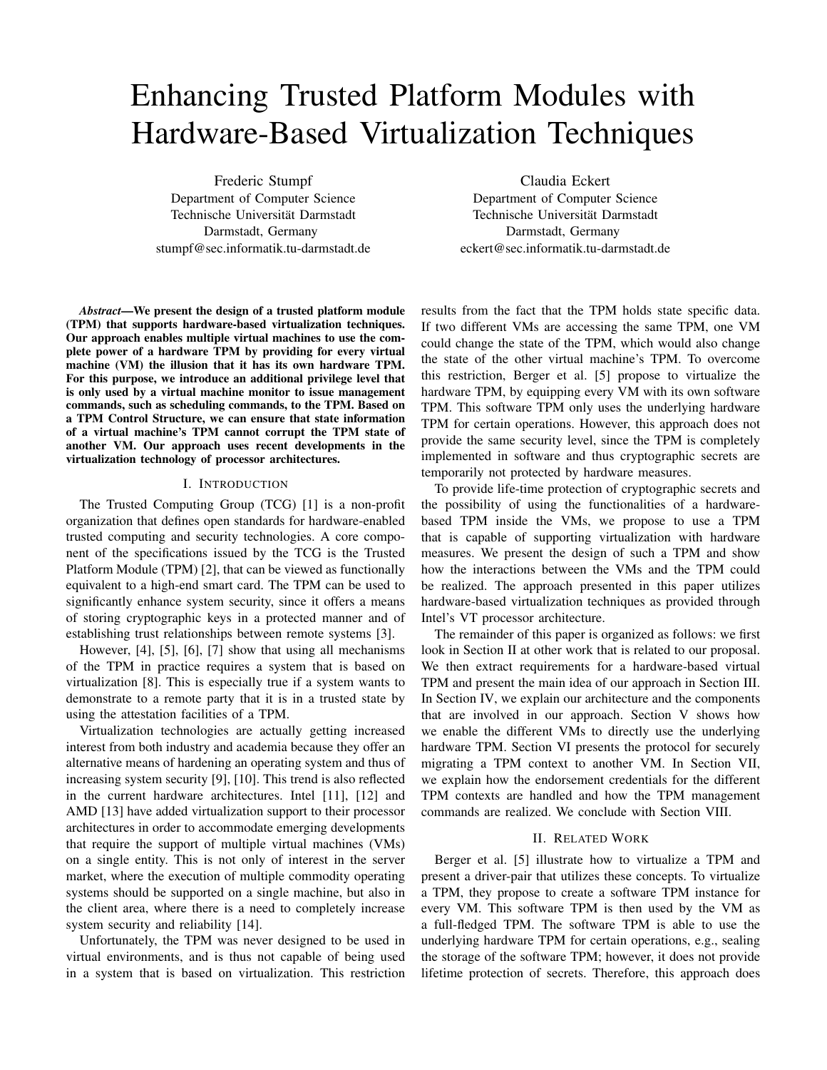# Enhancing Trusted Platform Modules with Hardware-Based Virtualization Techniques

Frederic Stumpf Department of Computer Science Technische Universität Darmstadt Darmstadt, Germany stumpf@sec.informatik.tu-darmstadt.de

*Abstract*—We present the design of a trusted platform module (TPM) that supports hardware-based virtualization techniques. Our approach enables multiple virtual machines to use the complete power of a hardware TPM by providing for every virtual machine (VM) the illusion that it has its own hardware TPM. For this purpose, we introduce an additional privilege level that is only used by a virtual machine monitor to issue management commands, such as scheduling commands, to the TPM. Based on a TPM Control Structure, we can ensure that state information of a virtual machine's TPM cannot corrupt the TPM state of another VM. Our approach uses recent developments in the virtualization technology of processor architectures.

#### I. INTRODUCTION

The Trusted Computing Group (TCG) [1] is a non-profit organization that defines open standards for hardware-enabled trusted computing and security technologies. A core component of the specifications issued by the TCG is the Trusted Platform Module (TPM) [2], that can be viewed as functionally equivalent to a high-end smart card. The TPM can be used to significantly enhance system security, since it offers a means of storing cryptographic keys in a protected manner and of establishing trust relationships between remote systems [3].

However, [4], [5], [6], [7] show that using all mechanisms of the TPM in practice requires a system that is based on virtualization [8]. This is especially true if a system wants to demonstrate to a remote party that it is in a trusted state by using the attestation facilities of a TPM.

Virtualization technologies are actually getting increased interest from both industry and academia because they offer an alternative means of hardening an operating system and thus of increasing system security [9], [10]. This trend is also reflected in the current hardware architectures. Intel [11], [12] and AMD [13] have added virtualization support to their processor architectures in order to accommodate emerging developments that require the support of multiple virtual machines (VMs) on a single entity. This is not only of interest in the server market, where the execution of multiple commodity operating systems should be supported on a single machine, but also in the client area, where there is a need to completely increase system security and reliability [14].

Unfortunately, the TPM was never designed to be used in virtual environments, and is thus not capable of being used in a system that is based on virtualization. This restriction Claudia Eckert

Department of Computer Science Technische Universität Darmstadt Darmstadt, Germany eckert@sec.informatik.tu-darmstadt.de

results from the fact that the TPM holds state specific data. If two different VMs are accessing the same TPM, one VM could change the state of the TPM, which would also change the state of the other virtual machine's TPM. To overcome this restriction, Berger et al. [5] propose to virtualize the hardware TPM, by equipping every VM with its own software TPM. This software TPM only uses the underlying hardware TPM for certain operations. However, this approach does not provide the same security level, since the TPM is completely implemented in software and thus cryptographic secrets are temporarily not protected by hardware measures.

To provide life-time protection of cryptographic secrets and the possibility of using the functionalities of a hardwarebased TPM inside the VMs, we propose to use a TPM that is capable of supporting virtualization with hardware measures. We present the design of such a TPM and show how the interactions between the VMs and the TPM could be realized. The approach presented in this paper utilizes hardware-based virtualization techniques as provided through Intel's VT processor architecture.

The remainder of this paper is organized as follows: we first look in Section II at other work that is related to our proposal. We then extract requirements for a hardware-based virtual TPM and present the main idea of our approach in Section III. In Section IV, we explain our architecture and the components that are involved in our approach. Section V shows how we enable the different VMs to directly use the underlying hardware TPM. Section VI presents the protocol for securely migrating a TPM context to another VM. In Section VII, we explain how the endorsement credentials for the different TPM contexts are handled and how the TPM management commands are realized. We conclude with Section VIII.

# II. RELATED WORK

Berger et al. [5] illustrate how to virtualize a TPM and present a driver-pair that utilizes these concepts. To virtualize a TPM, they propose to create a software TPM instance for every VM. This software TPM is then used by the VM as a full-fledged TPM. The software TPM is able to use the underlying hardware TPM for certain operations, e.g., sealing the storage of the software TPM; however, it does not provide lifetime protection of secrets. Therefore, this approach does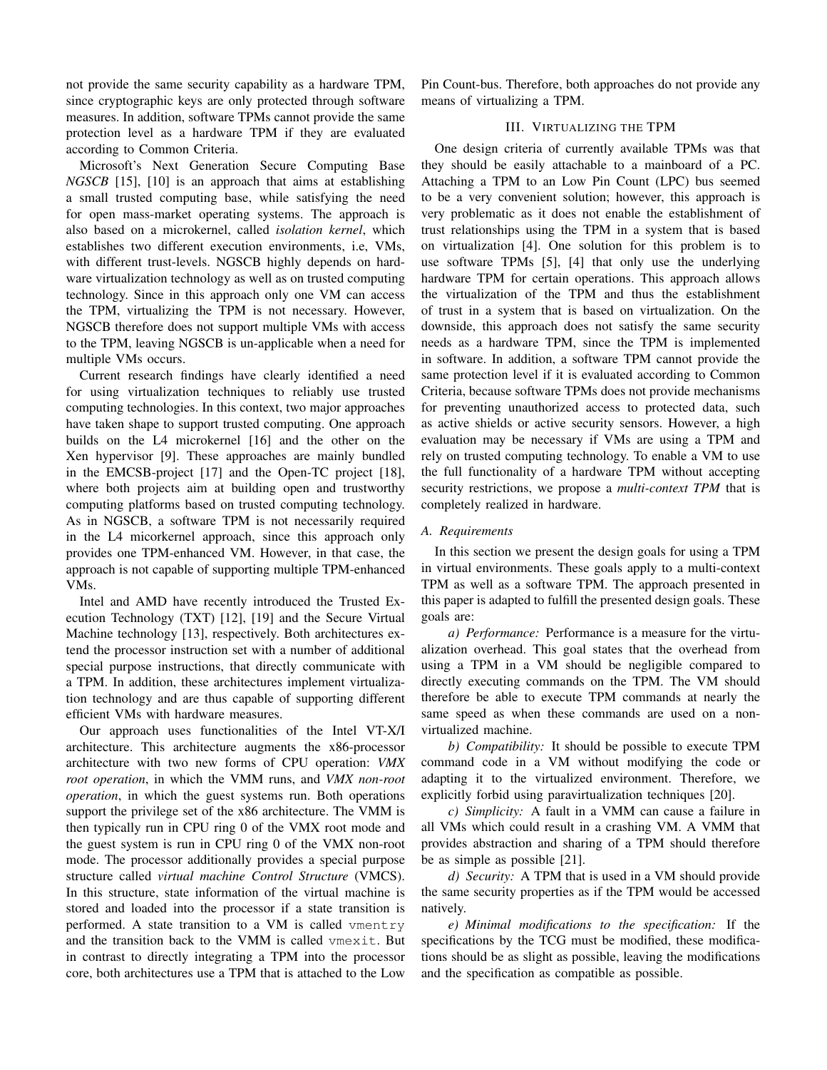not provide the same security capability as a hardware TPM, since cryptographic keys are only protected through software measures. In addition, software TPMs cannot provide the same protection level as a hardware TPM if they are evaluated according to Common Criteria.

Microsoft's Next Generation Secure Computing Base *NGSCB* [15], [10] is an approach that aims at establishing a small trusted computing base, while satisfying the need for open mass-market operating systems. The approach is also based on a microkernel, called *isolation kernel*, which establishes two different execution environments, i.e, VMs, with different trust-levels. NGSCB highly depends on hardware virtualization technology as well as on trusted computing technology. Since in this approach only one VM can access the TPM, virtualizing the TPM is not necessary. However, NGSCB therefore does not support multiple VMs with access to the TPM, leaving NGSCB is un-applicable when a need for multiple VMs occurs.

Current research findings have clearly identified a need for using virtualization techniques to reliably use trusted computing technologies. In this context, two major approaches have taken shape to support trusted computing. One approach builds on the L4 microkernel [16] and the other on the Xen hypervisor [9]. These approaches are mainly bundled in the EMCSB-project [17] and the Open-TC project [18], where both projects aim at building open and trustworthy computing platforms based on trusted computing technology. As in NGSCB, a software TPM is not necessarily required in the L4 micorkernel approach, since this approach only provides one TPM-enhanced VM. However, in that case, the approach is not capable of supporting multiple TPM-enhanced VMs.

Intel and AMD have recently introduced the Trusted Execution Technology (TXT) [12], [19] and the Secure Virtual Machine technology [13], respectively. Both architectures extend the processor instruction set with a number of additional special purpose instructions, that directly communicate with a TPM. In addition, these architectures implement virtualization technology and are thus capable of supporting different efficient VMs with hardware measures.

Our approach uses functionalities of the Intel VT-X/I architecture. This architecture augments the x86-processor architecture with two new forms of CPU operation: *VMX root operation*, in which the VMM runs, and *VMX non-root operation*, in which the guest systems run. Both operations support the privilege set of the x86 architecture. The VMM is then typically run in CPU ring 0 of the VMX root mode and the guest system is run in CPU ring 0 of the VMX non-root mode. The processor additionally provides a special purpose structure called *virtual machine Control Structure* (VMCS). In this structure, state information of the virtual machine is stored and loaded into the processor if a state transition is performed. A state transition to a VM is called vmentry and the transition back to the VMM is called vmexit. But in contrast to directly integrating a TPM into the processor core, both architectures use a TPM that is attached to the Low Pin Count-bus. Therefore, both approaches do not provide any means of virtualizing a TPM.

# III. VIRTUALIZING THE TPM

One design criteria of currently available TPMs was that they should be easily attachable to a mainboard of a PC. Attaching a TPM to an Low Pin Count (LPC) bus seemed to be a very convenient solution; however, this approach is very problematic as it does not enable the establishment of trust relationships using the TPM in a system that is based on virtualization [4]. One solution for this problem is to use software TPMs [5], [4] that only use the underlying hardware TPM for certain operations. This approach allows the virtualization of the TPM and thus the establishment of trust in a system that is based on virtualization. On the downside, this approach does not satisfy the same security needs as a hardware TPM, since the TPM is implemented in software. In addition, a software TPM cannot provide the same protection level if it is evaluated according to Common Criteria, because software TPMs does not provide mechanisms for preventing unauthorized access to protected data, such as active shields or active security sensors. However, a high evaluation may be necessary if VMs are using a TPM and rely on trusted computing technology. To enable a VM to use the full functionality of a hardware TPM without accepting security restrictions, we propose a *multi-context TPM* that is completely realized in hardware.

## *A. Requirements*

In this section we present the design goals for using a TPM in virtual environments. These goals apply to a multi-context TPM as well as a software TPM. The approach presented in this paper is adapted to fulfill the presented design goals. These goals are:

*a) Performance:* Performance is a measure for the virtualization overhead. This goal states that the overhead from using a TPM in a VM should be negligible compared to directly executing commands on the TPM. The VM should therefore be able to execute TPM commands at nearly the same speed as when these commands are used on a nonvirtualized machine.

*b) Compatibility:* It should be possible to execute TPM command code in a VM without modifying the code or adapting it to the virtualized environment. Therefore, we explicitly forbid using paravirtualization techniques [20].

*c) Simplicity:* A fault in a VMM can cause a failure in all VMs which could result in a crashing VM. A VMM that provides abstraction and sharing of a TPM should therefore be as simple as possible [21].

*d) Security:* A TPM that is used in a VM should provide the same security properties as if the TPM would be accessed natively.

*e) Minimal modifications to the specification:* If the specifications by the TCG must be modified, these modifications should be as slight as possible, leaving the modifications and the specification as compatible as possible.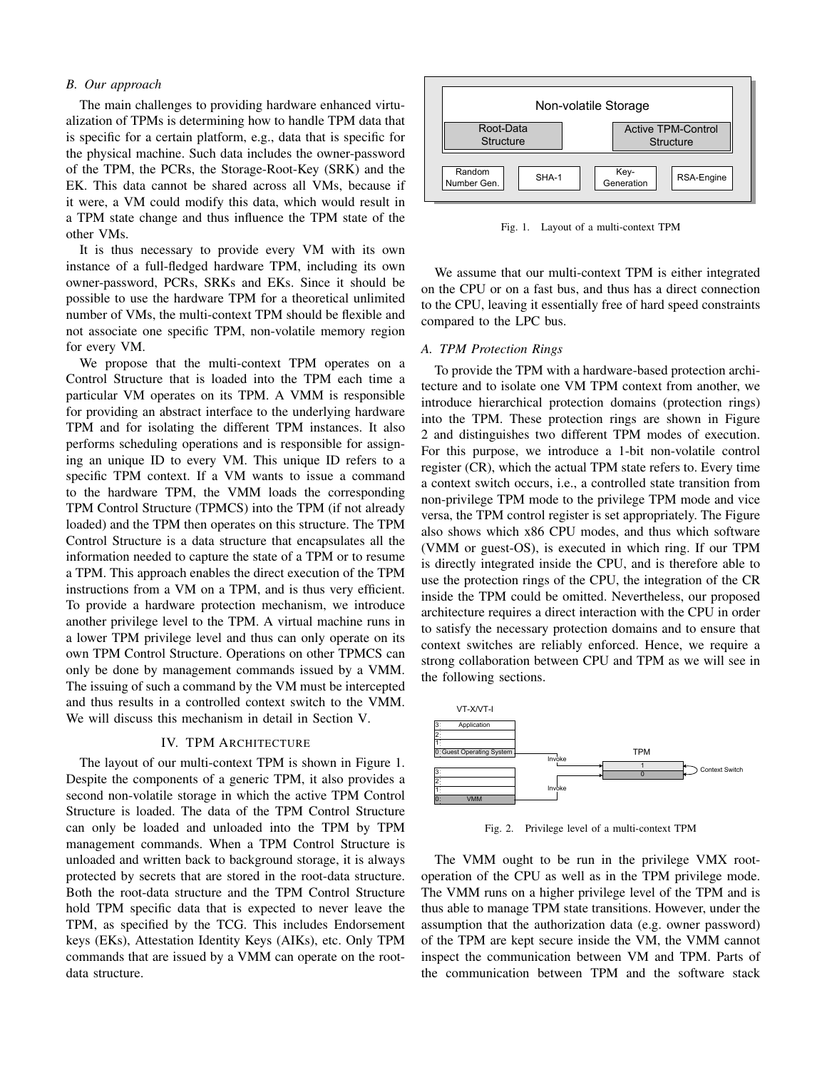## *B. Our approach*

The main challenges to providing hardware enhanced virtualization of TPMs is determining how to handle TPM data that is specific for a certain platform, e.g., data that is specific for the physical machine. Such data includes the owner-password of the TPM, the PCRs, the Storage-Root-Key (SRK) and the EK. This data cannot be shared across all VMs, because if it were, a VM could modify this data, which would result in a TPM state change and thus influence the TPM state of the other VMs.

It is thus necessary to provide every VM with its own instance of a full-fledged hardware TPM, including its own owner-password, PCRs, SRKs and EKs. Since it should be possible to use the hardware TPM for a theoretical unlimited number of VMs, the multi-context TPM should be flexible and not associate one specific TPM, non-volatile memory region for every VM.

We propose that the multi-context TPM operates on a Control Structure that is loaded into the TPM each time a particular VM operates on its TPM. A VMM is responsible for providing an abstract interface to the underlying hardware TPM and for isolating the different TPM instances. It also performs scheduling operations and is responsible for assigning an unique ID to every VM. This unique ID refers to a specific TPM context. If a VM wants to issue a command to the hardware TPM, the VMM loads the corresponding TPM Control Structure (TPMCS) into the TPM (if not already loaded) and the TPM then operates on this structure. The TPM Control Structure is a data structure that encapsulates all the information needed to capture the state of a TPM or to resume a TPM. This approach enables the direct execution of the TPM instructions from a VM on a TPM, and is thus very efficient. To provide a hardware protection mechanism, we introduce another privilege level to the TPM. A virtual machine runs in a lower TPM privilege level and thus can only operate on its own TPM Control Structure. Operations on other TPMCS can only be done by management commands issued by a VMM. The issuing of such a command by the VM must be intercepted and thus results in a controlled context switch to the VMM. We will discuss this mechanism in detail in Section V.

# IV. TPM ARCHITECTURE

The layout of our multi-context TPM is shown in Figure 1. Despite the components of a generic TPM, it also provides a second non-volatile storage in which the active TPM Control Structure is loaded. The data of the TPM Control Structure can only be loaded and unloaded into the TPM by TPM management commands. When a TPM Control Structure is unloaded and written back to background storage, it is always protected by secrets that are stored in the root-data structure. Both the root-data structure and the TPM Control Structure hold TPM specific data that is expected to never leave the TPM, as specified by the TCG. This includes Endorsement keys (EKs), Attestation Identity Keys (AIKs), etc. Only TPM commands that are issued by a VMM can operate on the rootdata structure.



Fig. 1. Layout of a multi-context TPM

We assume that our multi-context TPM is either integrated on the CPU or on a fast bus, and thus has a direct connection to the CPU, leaving it essentially free of hard speed constraints compared to the LPC bus.

## *A. TPM Protection Rings*

To provide the TPM with a hardware-based protection architecture and to isolate one VM TPM context from another, we introduce hierarchical protection domains (protection rings) into the TPM. These protection rings are shown in Figure 2 and distinguishes two different TPM modes of execution. For this purpose, we introduce a 1-bit non-volatile control register (CR), which the actual TPM state refers to. Every time a context switch occurs, i.e., a controlled state transition from non-privilege TPM mode to the privilege TPM mode and vice versa, the TPM control register is set appropriately. The Figure also shows which x86 CPU modes, and thus which software (VMM or guest-OS), is executed in which ring. If our TPM is directly integrated inside the CPU, and is therefore able to use the protection rings of the CPU, the integration of the CR inside the TPM could be omitted. Nevertheless, our proposed architecture requires a direct interaction with the CPU in order to satisfy the necessary protection domains and to ensure that context switches are reliably enforced. Hence, we require a strong collaboration between CPU and TPM as we will see in the following sections.



Fig. 2. Privilege level of a multi-context TPM

The VMM ought to be run in the privilege VMX rootoperation of the CPU as well as in the TPM privilege mode. The VMM runs on a higher privilege level of the TPM and is thus able to manage TPM state transitions. However, under the assumption that the authorization data (e.g. owner password) of the TPM are kept secure inside the VM, the VMM cannot inspect the communication between VM and TPM. Parts of the communication between TPM and the software stack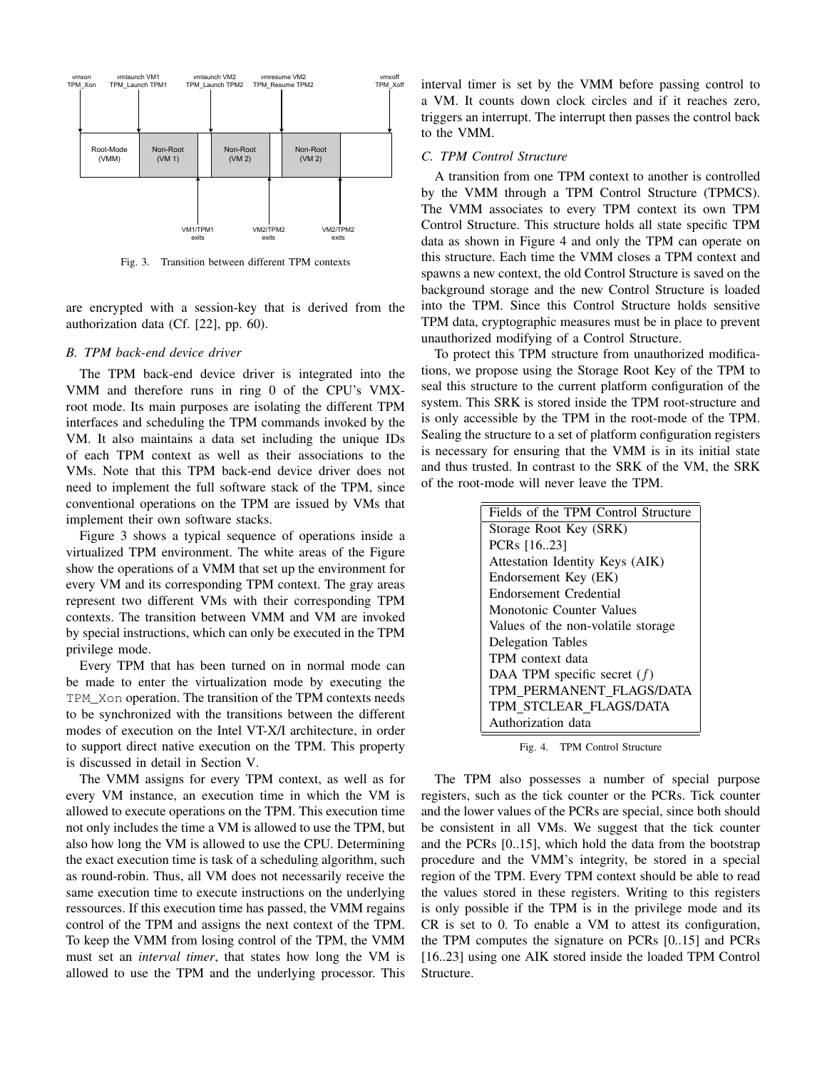

Fig. 3. Transition between different TPM contexts

are encrypted with a session-key that is derived from the authorization data (Cf. [22], pp. 60).

#### *B. TPM back-end device driver*

The TPM back-end device driver is integrated into the VMM and therefore runs in ring 0 of the CPU's VMXroot mode. Its main purposes are isolating the different TPM interfaces and scheduling the TPM commands invoked by the VM. It also maintains a data set including the unique IDs of each TPM context as well as their associations to the VMs. Note that this TPM back-end device driver does not need to implement the full software stack of the TPM, since conventional operations on the TPM are issued by VMs that implement their own software stacks.

Figure 3 shows a typical sequence of operations inside a virtualized TPM environment. The white areas of the Figure show the operations of a VMM that set up the environment for every VM and its corresponding TPM context. The gray areas represent two different VMs with their corresponding TPM contexts. The transition between VMM and VM are invoked by special instructions, which can only be executed in the TPM privilege mode.

Every TPM that has been turned on in normal mode can be made to enter the virtualization mode by executing the TPM\_Xon operation. The transition of the TPM contexts needs to be synchronized with the transitions between the different modes of execution on the Intel VT-X/I architecture, in order to support direct native execution on the TPM. This property is discussed in detail in Section V.

The VMM assigns for every TPM context, as well as for every VM instance, an execution time in which the VM is allowed to execute operations on the TPM. This execution time not only includes the time a VM is allowed to use the TPM, but also how long the VM is allowed to use the CPU. Determining the exact execution time is task of a scheduling algorithm, such as round-robin. Thus, all VM does not necessarily receive the same execution time to execute instructions on the underlying ressources. If this execution time has passed, the VMM regains control of the TPM and assigns the next context of the TPM. To keep the VMM from losing control of the TPM, the VMM must set an *interval timer*, that states how long the VM is allowed to use the TPM and the underlying processor. This interval timer is set by the VMM before passing control to a VM. It counts down clock circles and if it reaches zero, triggers an interrupt. The interrupt then passes the control back to the VMM.

## *C. TPM Control Structure*

A transition from one TPM context to another is controlled by the VMM through a TPM Control Structure (TPMCS). The VMM associates to every TPM context its own TPM Control Structure. This structure holds all state specific TPM data as shown in Figure 4 and only the TPM can operate on this structure. Each time the VMM closes a TPM context and spawns a new context, the old Control Structure is saved on the background storage and the new Control Structure is loaded into the TPM. Since this Control Structure holds sensitive TPM data, cryptographic measures must be in place to prevent unauthorized modifying of a Control Structure.

To protect this TPM structure from unauthorized modifications, we propose using the Storage Root Key of the TPM to seal this structure to the current platform configuration of the system. This SRK is stored inside the TPM root-structure and is only accessible by the TPM in the root-mode of the TPM. Sealing the structure to a set of platform configuration registers is necessary for ensuring that the VMM is in its initial state and thus trusted. In contrast to the SRK of the VM, the SRK of the root-mode will never leave the TPM.

| Fields of the TPM Control Structure |
|-------------------------------------|
| Storage Root Key (SRK)              |
| PCR <sub>s</sub> [1623]             |
| Attestation Identity Keys (AIK)     |
| Endorsement Key (EK)                |
| Endorsement Credential              |
| Monotonic Counter Values            |
| Values of the non-volatile storage  |
| <b>Delegation Tables</b>            |
| TPM context data                    |
| DAA TPM specific secret $(f)$       |
| TPM PERMANENT FLAGS/DATA            |
| TPM STCLEAR FLAGS/DATA              |
| Authorization data                  |

Fig. 4. TPM Control Structure

The TPM also possesses a number of special purpose registers, such as the tick counter or the PCRs. Tick counter and the lower values of the PCRs are special, since both should be consistent in all VMs. We suggest that the tick counter and the PCRs [0..15], which hold the data from the bootstrap procedure and the VMM's integrity, be stored in a special region of the TPM. Every TPM context should be able to read the values stored in these registers. Writing to this registers is only possible if the TPM is in the privilege mode and its CR is set to 0. To enable a VM to attest its configuration, the TPM computes the signature on PCRs [0..15] and PCRs [16..23] using one AIK stored inside the loaded TPM Control Structure.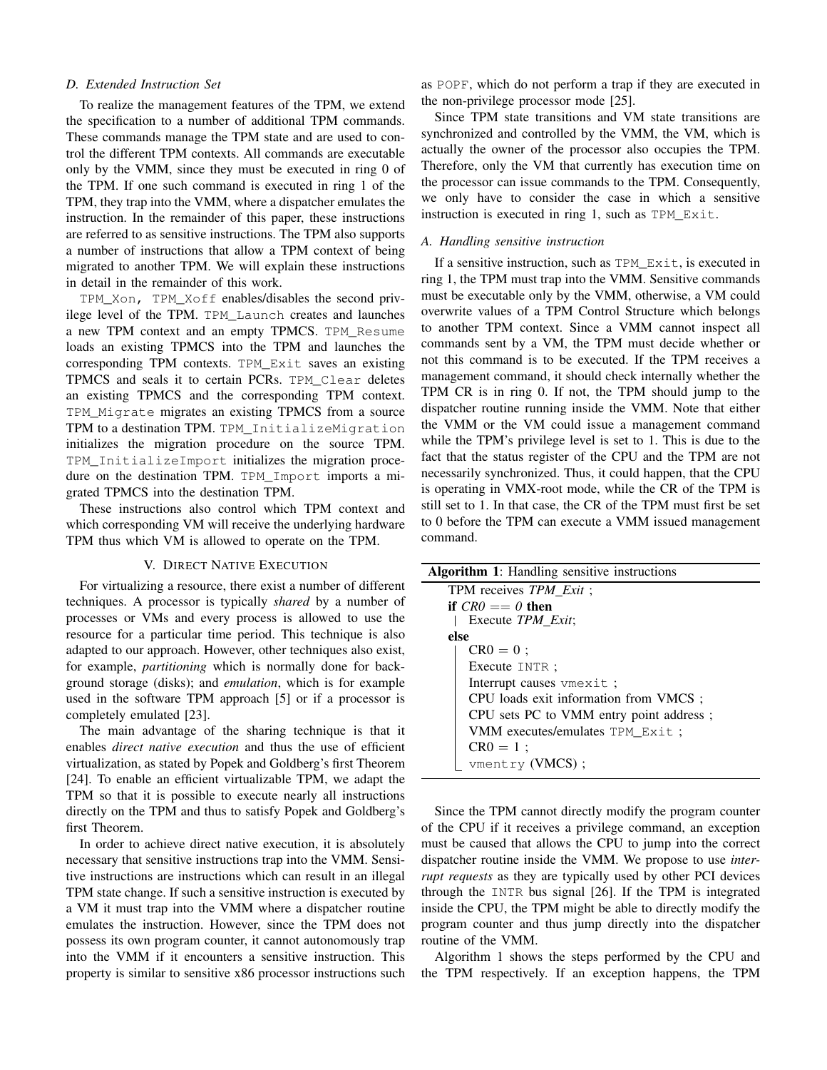## *D. Extended Instruction Set*

To realize the management features of the TPM, we extend the specification to a number of additional TPM commands. These commands manage the TPM state and are used to control the different TPM contexts. All commands are executable only by the VMM, since they must be executed in ring 0 of the TPM. If one such command is executed in ring 1 of the TPM, they trap into the VMM, where a dispatcher emulates the instruction. In the remainder of this paper, these instructions are referred to as sensitive instructions. The TPM also supports a number of instructions that allow a TPM context of being migrated to another TPM. We will explain these instructions in detail in the remainder of this work.

TPM Xon, TPM Xoff enables/disables the second privilege level of the TPM. TPM\_Launch creates and launches a new TPM context and an empty TPMCS. TPM\_Resume loads an existing TPMCS into the TPM and launches the corresponding TPM contexts. TPM\_Exit saves an existing TPMCS and seals it to certain PCRs. TPM\_Clear deletes an existing TPMCS and the corresponding TPM context. TPM\_Migrate migrates an existing TPMCS from a source TPM to a destination TPM. TPM\_InitializeMigration initializes the migration procedure on the source TPM. TPM\_InitializeImport initializes the migration procedure on the destination TPM. TPM\_Import imports a migrated TPMCS into the destination TPM.

These instructions also control which TPM context and which corresponding VM will receive the underlying hardware TPM thus which VM is allowed to operate on the TPM.

## V. DIRECT NATIVE EXECUTION

For virtualizing a resource, there exist a number of different techniques. A processor is typically *shared* by a number of processes or VMs and every process is allowed to use the resource for a particular time period. This technique is also adapted to our approach. However, other techniques also exist, for example, *partitioning* which is normally done for background storage (disks); and *emulation*, which is for example used in the software TPM approach [5] or if a processor is completely emulated [23].

The main advantage of the sharing technique is that it enables *direct native execution* and thus the use of efficient virtualization, as stated by Popek and Goldberg's first Theorem [24]. To enable an efficient virtualizable TPM, we adapt the TPM so that it is possible to execute nearly all instructions directly on the TPM and thus to satisfy Popek and Goldberg's first Theorem.

In order to achieve direct native execution, it is absolutely necessary that sensitive instructions trap into the VMM. Sensitive instructions are instructions which can result in an illegal TPM state change. If such a sensitive instruction is executed by a VM it must trap into the VMM where a dispatcher routine emulates the instruction. However, since the TPM does not possess its own program counter, it cannot autonomously trap into the VMM if it encounters a sensitive instruction. This property is similar to sensitive x86 processor instructions such

as POPF, which do not perform a trap if they are executed in the non-privilege processor mode [25].

Since TPM state transitions and VM state transitions are synchronized and controlled by the VMM, the VM, which is actually the owner of the processor also occupies the TPM. Therefore, only the VM that currently has execution time on the processor can issue commands to the TPM. Consequently, we only have to consider the case in which a sensitive instruction is executed in ring 1, such as TPM\_Exit.

#### *A. Handling sensitive instruction*

If a sensitive instruction, such as TPM Exit, is executed in ring 1, the TPM must trap into the VMM. Sensitive commands must be executable only by the VMM, otherwise, a VM could overwrite values of a TPM Control Structure which belongs to another TPM context. Since a VMM cannot inspect all commands sent by a VM, the TPM must decide whether or not this command is to be executed. If the TPM receives a management command, it should check internally whether the TPM CR is in ring 0. If not, the TPM should jump to the dispatcher routine running inside the VMM. Note that either the VMM or the VM could issue a management command while the TPM's privilege level is set to 1. This is due to the fact that the status register of the CPU and the TPM are not necessarily synchronized. Thus, it could happen, that the CPU is operating in VMX-root mode, while the CR of the TPM is still set to 1. In that case, the CR of the TPM must first be set to 0 before the TPM can execute a VMM issued management command.

| Algorithm 1: Handling sensitive instructions |  |  |  |  |  |
|----------------------------------------------|--|--|--|--|--|
| TPM receives TPM Exit ;                      |  |  |  |  |  |
| if $CRO == 0$ then                           |  |  |  |  |  |
| Execute TPM Exit;                            |  |  |  |  |  |
| else                                         |  |  |  |  |  |
| $CR0 = 0$ :                                  |  |  |  |  |  |
| Execute INTR ;                               |  |  |  |  |  |
| Interrupt causes vmexit;                     |  |  |  |  |  |
| CPU loads exit information from VMCS ;       |  |  |  |  |  |
| CPU sets PC to VMM entry point address;      |  |  |  |  |  |
| VMM executes/emulates TPM Exit ;             |  |  |  |  |  |
| $CR0 = 1$ :                                  |  |  |  |  |  |
| $v$ mentry (VMCS);                           |  |  |  |  |  |

Since the TPM cannot directly modify the program counter of the CPU if it receives a privilege command, an exception must be caused that allows the CPU to jump into the correct dispatcher routine inside the VMM. We propose to use *interrupt requests* as they are typically used by other PCI devices through the INTR bus signal [26]. If the TPM is integrated inside the CPU, the TPM might be able to directly modify the program counter and thus jump directly into the dispatcher routine of the VMM.

Algorithm 1 shows the steps performed by the CPU and the TPM respectively. If an exception happens, the TPM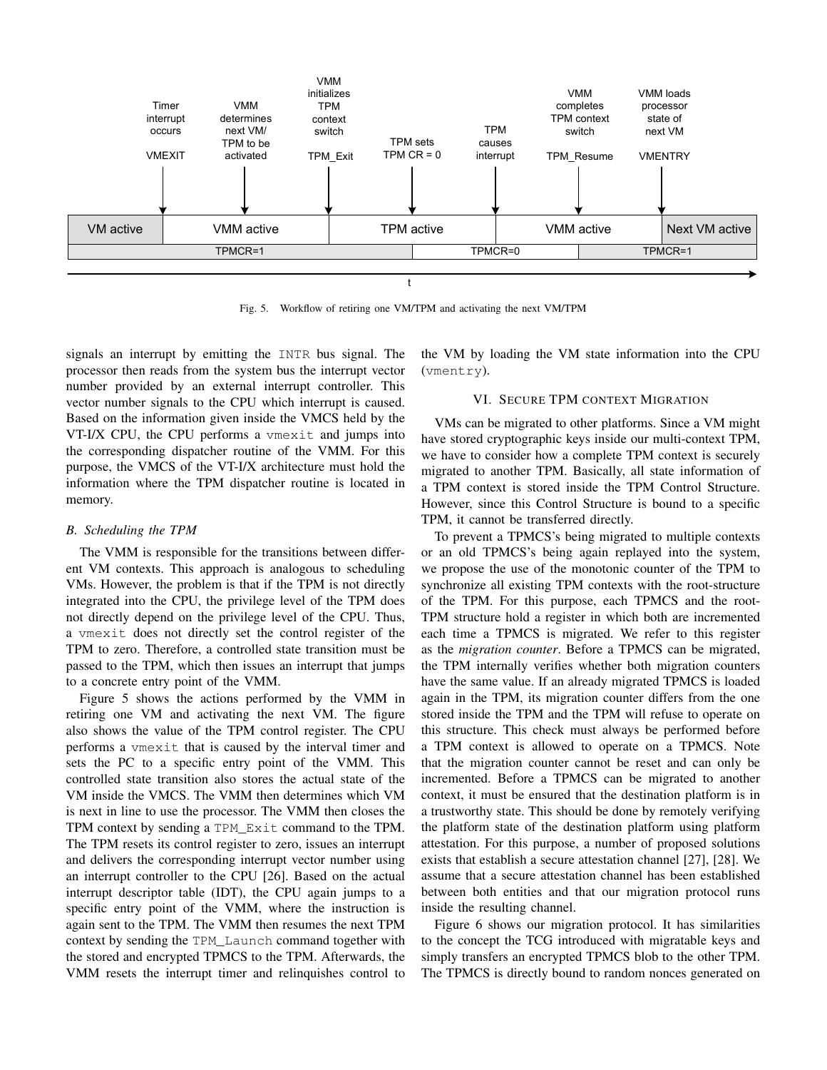

Fig. 5. Workflow of retiring one VM/TPM and activating the next VM/TPM

signals an interrupt by emitting the INTR bus signal. The processor then reads from the system bus the interrupt vector number provided by an external interrupt controller. This vector number signals to the CPU which interrupt is caused. Based on the information given inside the VMCS held by the VT-I/X CPU, the CPU performs a vmexit and jumps into the corresponding dispatcher routine of the VMM. For this purpose, the VMCS of the VT-I/X architecture must hold the information where the TPM dispatcher routine is located in memory.

## *B. Scheduling the TPM*

The VMM is responsible for the transitions between different VM contexts. This approach is analogous to scheduling VMs. However, the problem is that if the TPM is not directly integrated into the CPU, the privilege level of the TPM does not directly depend on the privilege level of the CPU. Thus, a vmexit does not directly set the control register of the TPM to zero. Therefore, a controlled state transition must be passed to the TPM, which then issues an interrupt that jumps to a concrete entry point of the VMM.

Figure 5 shows the actions performed by the VMM in retiring one VM and activating the next VM. The figure also shows the value of the TPM control register. The CPU performs a vmexit that is caused by the interval timer and sets the PC to a specific entry point of the VMM. This controlled state transition also stores the actual state of the VM inside the VMCS. The VMM then determines which VM is next in line to use the processor. The VMM then closes the TPM context by sending a TPM\_Exit command to the TPM. The TPM resets its control register to zero, issues an interrupt and delivers the corresponding interrupt vector number using an interrupt controller to the CPU [26]. Based on the actual interrupt descriptor table (IDT), the CPU again jumps to a specific entry point of the VMM, where the instruction is again sent to the TPM. The VMM then resumes the next TPM context by sending the TPM\_Launch command together with the stored and encrypted TPMCS to the TPM. Afterwards, the VMM resets the interrupt timer and relinquishes control to the VM by loading the VM state information into the CPU (vmentry).

#### VI. SECURE TPM CONTEXT MIGRATION

VMs can be migrated to other platforms. Since a VM might have stored cryptographic keys inside our multi-context TPM, we have to consider how a complete TPM context is securely migrated to another TPM. Basically, all state information of a TPM context is stored inside the TPM Control Structure. However, since this Control Structure is bound to a specific TPM, it cannot be transferred directly.

To prevent a TPMCS's being migrated to multiple contexts or an old TPMCS's being again replayed into the system, we propose the use of the monotonic counter of the TPM to synchronize all existing TPM contexts with the root-structure of the TPM. For this purpose, each TPMCS and the root-TPM structure hold a register in which both are incremented each time a TPMCS is migrated. We refer to this register as the *migration counter*. Before a TPMCS can be migrated, the TPM internally verifies whether both migration counters have the same value. If an already migrated TPMCS is loaded again in the TPM, its migration counter differs from the one stored inside the TPM and the TPM will refuse to operate on this structure. This check must always be performed before a TPM context is allowed to operate on a TPMCS. Note that the migration counter cannot be reset and can only be incremented. Before a TPMCS can be migrated to another context, it must be ensured that the destination platform is in a trustworthy state. This should be done by remotely verifying the platform state of the destination platform using platform attestation. For this purpose, a number of proposed solutions exists that establish a secure attestation channel [27], [28]. We assume that a secure attestation channel has been established between both entities and that our migration protocol runs inside the resulting channel.

Figure 6 shows our migration protocol. It has similarities to the concept the TCG introduced with migratable keys and simply transfers an encrypted TPMCS blob to the other TPM. The TPMCS is directly bound to random nonces generated on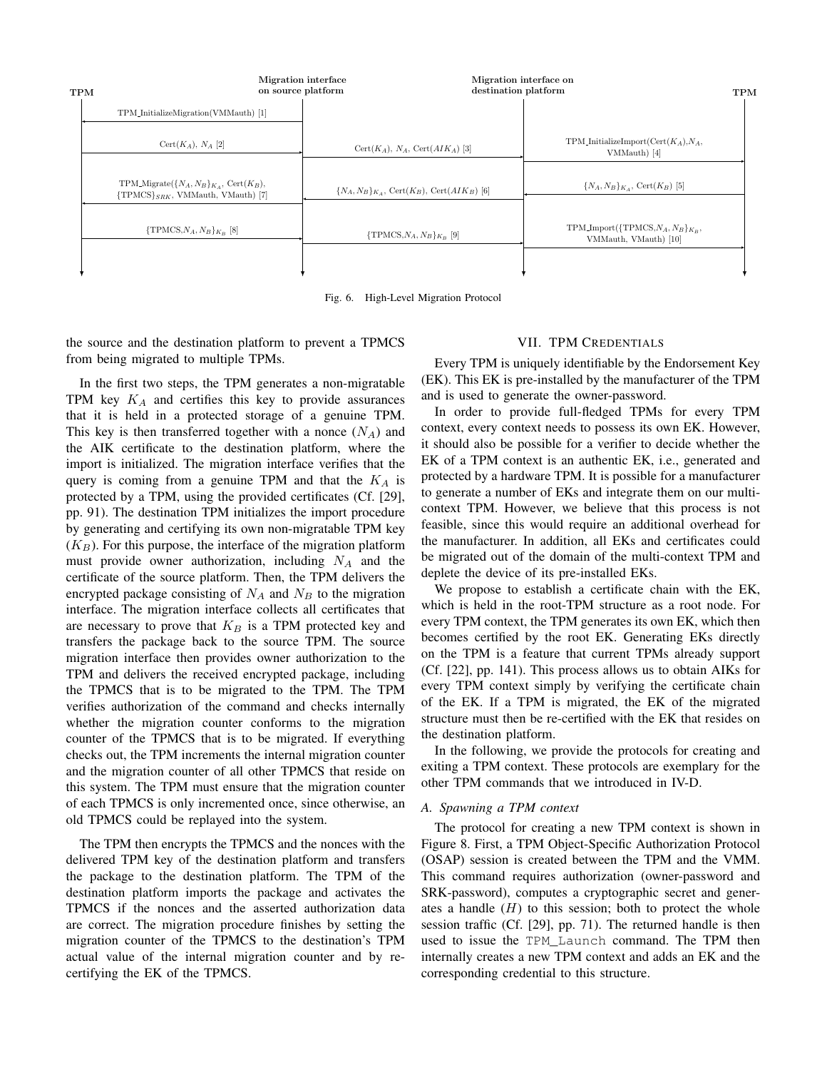

Fig. 6. High-Level Migration Protocol

the source and the destination platform to prevent a TPMCS from being migrated to multiple TPMs.

In the first two steps, the TPM generates a non-migratable TPM key  $K_A$  and certifies this key to provide assurances that it is held in a protected storage of a genuine TPM. This key is then transferred together with a nonce  $(N_A)$  and the AIK certificate to the destination platform, where the import is initialized. The migration interface verifies that the query is coming from a genuine TPM and that the  $K_A$  is protected by a TPM, using the provided certificates (Cf. [29], pp. 91). The destination TPM initializes the import procedure by generating and certifying its own non-migratable TPM key  $(K_B)$ . For this purpose, the interface of the migration platform must provide owner authorization, including  $N_A$  and the certificate of the source platform. Then, the TPM delivers the encrypted package consisting of  $N_A$  and  $N_B$  to the migration interface. The migration interface collects all certificates that are necessary to prove that  $K_B$  is a TPM protected key and transfers the package back to the source TPM. The source migration interface then provides owner authorization to the TPM and delivers the received encrypted package, including the TPMCS that is to be migrated to the TPM. The TPM verifies authorization of the command and checks internally whether the migration counter conforms to the migration counter of the TPMCS that is to be migrated. If everything checks out, the TPM increments the internal migration counter and the migration counter of all other TPMCS that reside on this system. The TPM must ensure that the migration counter of each TPMCS is only incremented once, since otherwise, an old TPMCS could be replayed into the system.

The TPM then encrypts the TPMCS and the nonces with the delivered TPM key of the destination platform and transfers the package to the destination platform. The TPM of the destination platform imports the package and activates the TPMCS if the nonces and the asserted authorization data are correct. The migration procedure finishes by setting the migration counter of the TPMCS to the destination's TPM actual value of the internal migration counter and by recertifying the EK of the TPMCS.

# VII. TPM CREDENTIALS

Every TPM is uniquely identifiable by the Endorsement Key (EK). This EK is pre-installed by the manufacturer of the TPM and is used to generate the owner-password.

In order to provide full-fledged TPMs for every TPM context, every context needs to possess its own EK. However, it should also be possible for a verifier to decide whether the EK of a TPM context is an authentic EK, i.e., generated and protected by a hardware TPM. It is possible for a manufacturer to generate a number of EKs and integrate them on our multicontext TPM. However, we believe that this process is not feasible, since this would require an additional overhead for the manufacturer. In addition, all EKs and certificates could be migrated out of the domain of the multi-context TPM and deplete the device of its pre-installed EKs.

We propose to establish a certificate chain with the EK, which is held in the root-TPM structure as a root node. For every TPM context, the TPM generates its own EK, which then becomes certified by the root EK. Generating EKs directly on the TPM is a feature that current TPMs already support (Cf. [22], pp. 141). This process allows us to obtain AIKs for every TPM context simply by verifying the certificate chain of the EK. If a TPM is migrated, the EK of the migrated structure must then be re-certified with the EK that resides on the destination platform.

In the following, we provide the protocols for creating and exiting a TPM context. These protocols are exemplary for the other TPM commands that we introduced in IV-D.

#### *A. Spawning a TPM context*

The protocol for creating a new TPM context is shown in Figure 8. First, a TPM Object-Specific Authorization Protocol (OSAP) session is created between the TPM and the VMM. This command requires authorization (owner-password and SRK-password), computes a cryptographic secret and generates a handle  $(H)$  to this session; both to protect the whole session traffic (Cf. [29], pp. 71). The returned handle is then used to issue the TPM\_Launch command. The TPM then internally creates a new TPM context and adds an EK and the corresponding credential to this structure.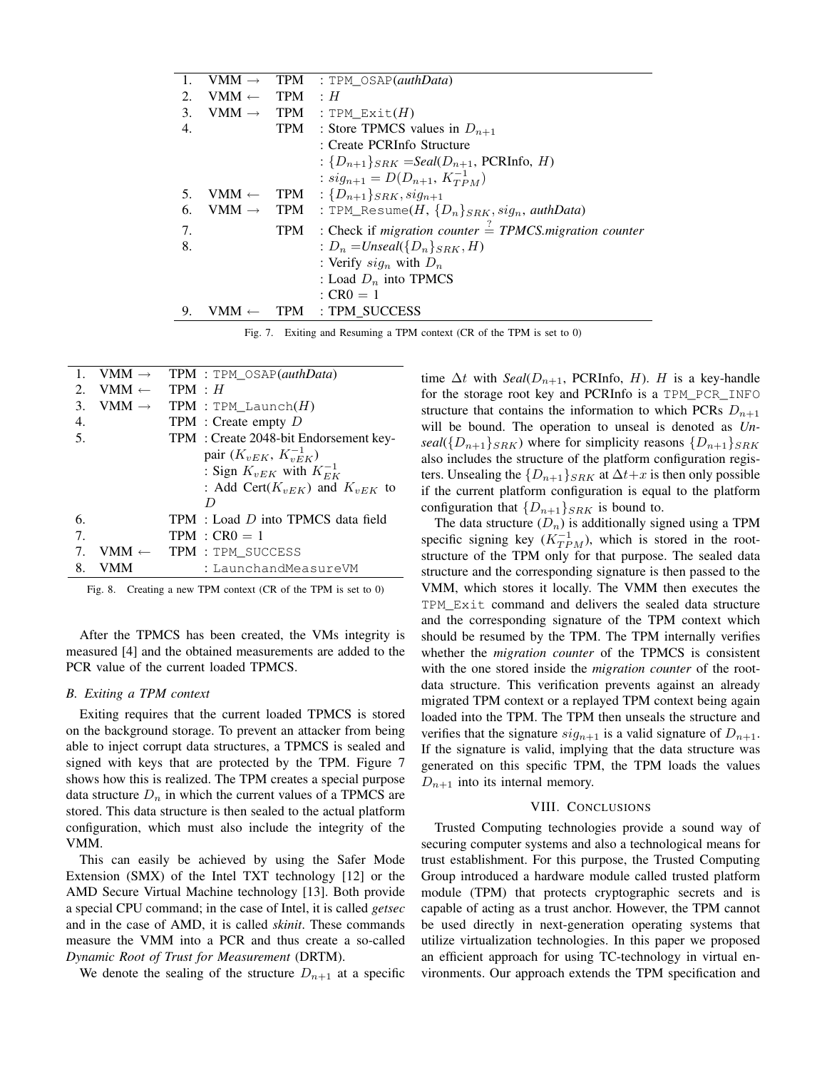|    | $VMM \rightarrow$     | <b>TPM</b> | : TPM_OSAP(authData)                                                   |  |  |  |
|----|-----------------------|------------|------------------------------------------------------------------------|--|--|--|
| 2. | VMM $\leftarrow$      | <b>TPM</b> | : Н                                                                    |  |  |  |
| 3. | VMM $\rightarrow$     | TPM        | : TPM $Exit(H)$                                                        |  |  |  |
| 4. |                       | TPM        | : Store TPMCS values in $D_{n+1}$                                      |  |  |  |
|    |                       |            | : Create PCRInfo Structure                                             |  |  |  |
|    |                       |            | : $\{D_{n+1}\}_{SRK}$ = Seal( $D_{n+1}$ , PCRInfo, H)                  |  |  |  |
|    |                       |            | : $sig_{n+1} = D(D_{n+1}, K_{TPM}^{-1})$                               |  |  |  |
| 5. | $VMM \leftarrow$      |            | <b>TPM</b> : $\{D_{n+1}\}_{SRK}, sig_{n+1}$                            |  |  |  |
| 6. | $VMM \rightarrow TPM$ |            | : TPM_Resume( $H$ , $\{D_n\}_{SRK}$ , $sig_n$ , authData)              |  |  |  |
| 7. |                       | TPM        | : Check if migration counter $\stackrel{?}{=}$ TPMCS migration counter |  |  |  |
| 8. |                       |            | : $D_n = Unseal({D_n}_{SRK}, H)$                                       |  |  |  |
|    |                       |            | : Verify $sig_n$ with $D_n$                                            |  |  |  |
|    |                       |            | : Load $D_n$ into TPMCS                                                |  |  |  |
|    |                       |            | : $CR0 = 1$                                                            |  |  |  |
| 9. | $VMM \leftarrow$      |            | TPM : TPM SUCCESS                                                      |  |  |  |

Fig. 7. Exiting and Resuming a TPM context (CR of the TPM is set to 0)

|               | VMM $\rightarrow$ |         | TPM : TPM_OSAP(authData)                 |
|---------------|-------------------|---------|------------------------------------------|
| 2.            | $VMM \leftarrow$  | TPM : H |                                          |
| $\mathcal{E}$ | VMM $\rightarrow$ |         | $TPM$ : TPM Launch $(H)$                 |
| 4.            |                   |         | TPM : Create empty $D$                   |
| 5.            |                   |         | TPM : Create 2048-bit Endorsement key-   |
|               |                   |         | pair $(K_{vEK}, K_{vEK}^{-1})$           |
|               |                   |         | : Sign $K_{vEK}$ with $K_{EK}^{-1}$      |
|               |                   |         | : Add Cert( $K_{vEK}$ ) and $K_{vEK}$ to |
|               |                   |         | $\prime$                                 |
| 6.            |                   |         | $TPM$ : Load D into TPMCS data field     |
| 7.            |                   |         | $TPM : CR0 = 1$                          |
| 7.            |                   |         | $VMM \leftarrow TPM : TPM SUCCES$        |
| 8.            | VMM               |         | : LaunchandMeasureVM                     |
|               |                   |         |                                          |

Fig. 8. Creating a new TPM context (CR of the TPM is set to 0)

After the TPMCS has been created, the VMs integrity is measured [4] and the obtained measurements are added to the PCR value of the current loaded TPMCS.

#### *B. Exiting a TPM context*

Exiting requires that the current loaded TPMCS is stored on the background storage. To prevent an attacker from being able to inject corrupt data structures, a TPMCS is sealed and signed with keys that are protected by the TPM. Figure 7 shows how this is realized. The TPM creates a special purpose data structure  $D_n$  in which the current values of a TPMCS are stored. This data structure is then sealed to the actual platform configuration, which must also include the integrity of the VMM.

This can easily be achieved by using the Safer Mode Extension (SMX) of the Intel TXT technology [12] or the AMD Secure Virtual Machine technology [13]. Both provide a special CPU command; in the case of Intel, it is called *getsec* and in the case of AMD, it is called *skinit*. These commands measure the VMM into a PCR and thus create a so-called *Dynamic Root of Trust for Measurement* (DRTM).

We denote the sealing of the structure  $D_{n+1}$  at a specific

time  $\Delta t$  with *Seal*( $D_{n+1}$ , PCRInfo, *H*). *H* is a key-handle for the storage root key and PCRInfo is a TPM\_PCR\_INFO structure that contains the information to which PCRs  $D_{n+1}$ will be bound. The operation to unseal is denoted as *Unseal*( $\{D_{n+1}\}_{SRK}$ ) where for simplicity reasons  $\{D_{n+1}\}_{SRK}$ also includes the structure of the platform configuration registers. Unsealing the  $\{D_{n+1}\}_{SRK}$  at  $\Delta t+x$  is then only possible if the current platform configuration is equal to the platform configuration that  $\{D_{n+1}\}_{SRK}$  is bound to.

The data structure  $(D_n)$  is additionally signed using a TPM specific signing key  $(K^{-1}_{TPM})$ , which is stored in the rootstructure of the TPM only for that purpose. The sealed data structure and the corresponding signature is then passed to the VMM, which stores it locally. The VMM then executes the TPM\_Exit command and delivers the sealed data structure and the corresponding signature of the TPM context which should be resumed by the TPM. The TPM internally verifies whether the *migration counter* of the TPMCS is consistent with the one stored inside the *migration counter* of the rootdata structure. This verification prevents against an already migrated TPM context or a replayed TPM context being again loaded into the TPM. The TPM then unseals the structure and verifies that the signature  $sig_{n+1}$  is a valid signature of  $D_{n+1}$ . If the signature is valid, implying that the data structure was generated on this specific TPM, the TPM loads the values  $D_{n+1}$  into its internal memory.

## VIII. CONCLUSIONS

Trusted Computing technologies provide a sound way of securing computer systems and also a technological means for trust establishment. For this purpose, the Trusted Computing Group introduced a hardware module called trusted platform module (TPM) that protects cryptographic secrets and is capable of acting as a trust anchor. However, the TPM cannot be used directly in next-generation operating systems that utilize virtualization technologies. In this paper we proposed an efficient approach for using TC-technology in virtual environments. Our approach extends the TPM specification and